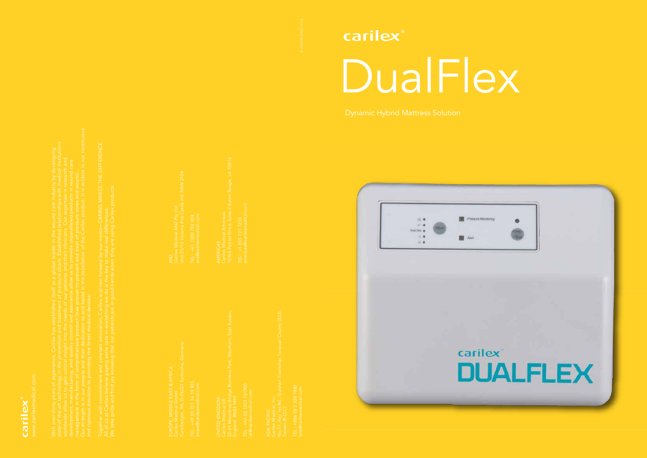





UNITED KINGDOM

TEL : +886 (0) 3 328 7882

ANZ Unit 23/10 Victoria Ave Castle Hill NSW 2154

TEL : +61 1300 732 004

10163 Patriot Drive, Suite 2 Baton Rouge, LA 70816